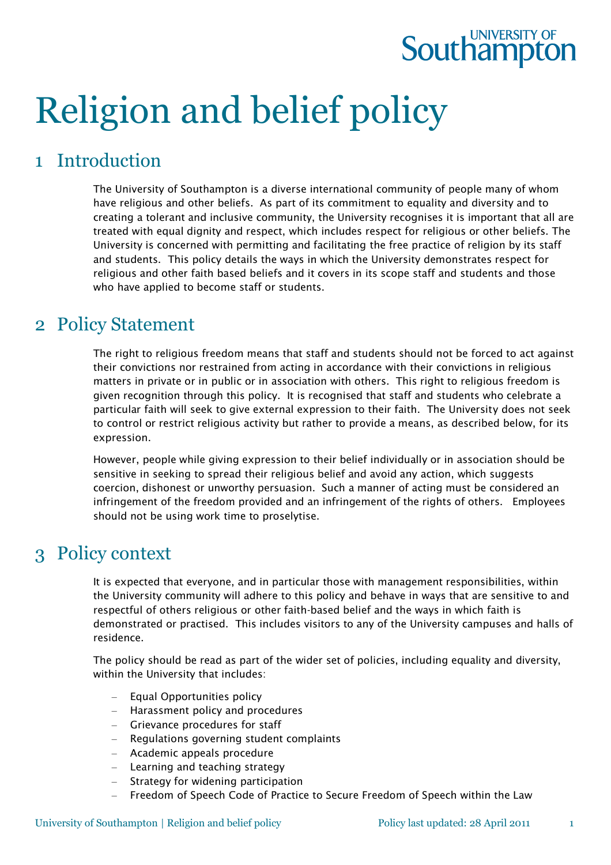## **Southampton**

# Religion and belief policy

## 1 Introduction

The University of Southampton is a diverse international community of people many of whom have religious and other beliefs. As part of its commitment to equality and diversity and to creating a tolerant and inclusive community, the University recognises it is important that all are treated with equal dignity and respect, which includes respect for religious or other beliefs. The University is concerned with permitting and facilitating the free practice of religion by its staff and students. This policy details the ways in which the University demonstrates respect for religious and other faith based beliefs and it covers in its scope staff and students and those who have applied to become staff or students.

### 2 Policy Statement

The right to religious freedom means that staff and students should not be forced to act against their convictions nor restrained from acting in accordance with their convictions in religious matters in private or in public or in association with others. This right to religious freedom is given recognition through this policy. It is recognised that staff and students who celebrate a particular faith will seek to give external expression to their faith. The University does not seek to control or restrict religious activity but rather to provide a means, as described below, for its expression.

However, people while giving expression to their belief individually or in association should be sensitive in seeking to spread their religious belief and avoid any action, which suggests coercion, dishonest or unworthy persuasion. Such a manner of acting must be considered an infringement of the freedom provided and an infringement of the rights of others. Employees should not be using work time to proselytise.

## 3 Policy context

It is expected that everyone, and in particular those with management responsibilities, within the University community will adhere to this policy and behave in ways that are sensitive to and respectful of others religious or other faith-based belief and the ways in which faith is demonstrated or practised. This includes visitors to any of the University campuses and halls of residence.

The policy should be read as part of the wider set of policies, including equality and diversity, within the University that includes:

- Equal Opportunities policy
- Harassment policy and procedures
- Grievance procedures for staff
- Regulations governing student complaints
- Academic appeals procedure
- Learning and teaching strategy
- Strategy for widening participation
- Freedom of Speech Code of Practice to Secure Freedom of Speech within the Law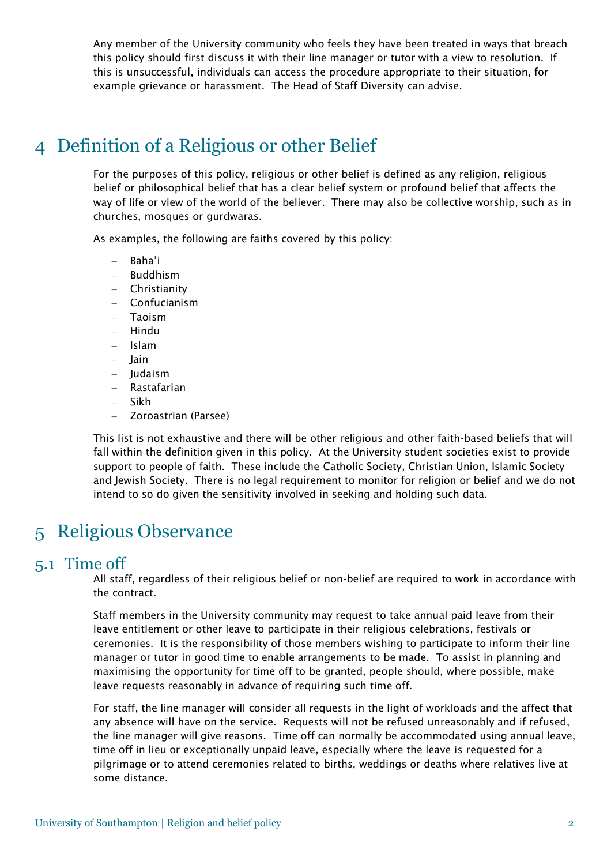Any member of the University community who feels they have been treated in ways that breach this policy should first discuss it with their line manager or tutor with a view to resolution. If this is unsuccessful, individuals can access the procedure appropriate to their situation, for example grievance or harassment. The Head of Staff Diversity can advise.

## 4 Definition of a Religious or other Belief

For the purposes of this policy, religious or other belief is defined as any religion, religious belief or philosophical belief that has a clear belief system or profound belief that affects the way of life or view of the world of the believer. There may also be collective worship, such as in churches, mosques or gurdwaras.

As examples, the following are faiths covered by this policy:

- Baha'i
- Buddhism
- Christianity
- Confucianism
- Taoism
- Hindu
- Islam
- Jain
- Judaism
- Rastafarian
- Sikh
- Zoroastrian (Parsee)

This list is not exhaustive and there will be other religious and other faith-based beliefs that will fall within the definition given in this policy. At the University student societies exist to provide support to people of faith. These include the Catholic Society, Christian Union, Islamic Society and Jewish Society. There is no legal requirement to monitor for religion or belief and we do not intend to so do given the sensitivity involved in seeking and holding such data.

## 5 Religious Observance

#### 5.1 Time off

All staff, regardless of their religious belief or non-belief are required to work in accordance with the contract.

Staff members in the University community may request to take annual paid leave from their leave entitlement or other leave to participate in their religious celebrations, festivals or ceremonies. It is the responsibility of those members wishing to participate to inform their line manager or tutor in good time to enable arrangements to be made. To assist in planning and maximising the opportunity for time off to be granted, people should, where possible, make leave requests reasonably in advance of requiring such time off.

For staff, the line manager will consider all requests in the light of workloads and the affect that any absence will have on the service. Requests will not be refused unreasonably and if refused, the line manager will give reasons. Time off can normally be accommodated using annual leave, time off in lieu or exceptionally unpaid leave, especially where the leave is requested for a pilgrimage or to attend ceremonies related to births, weddings or deaths where relatives live at some distance.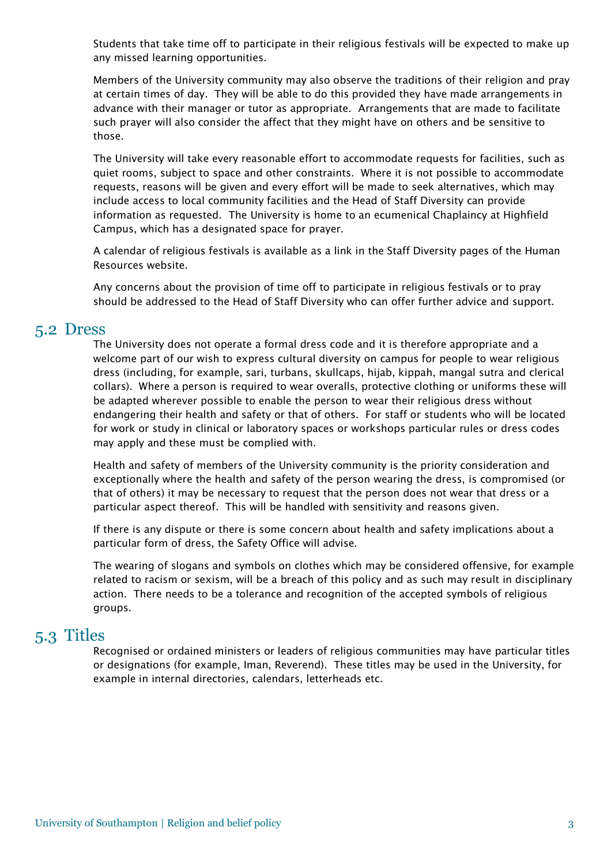Students that take time off to participate in their religious festivals will be expected to make up any missed learning opportunities.

Members of the University community may also observe the traditions of their religion and pray at certain times of day. They will be able to do this provided they have made arrangements in advance with their manager or tutor as appropriate. Arrangements that are made to facilitate such prayer will also consider the affect that they might have on others and be sensitive to those.

The University will take every reasonable effort to accommodate requests for facilities, such as quiet rooms, subject to space and other constraints. Where it is not possible to accommodate requests, reasons will be given and every effort will be made to seek alternatives, which may include access to local community facilities and the Head of Staff Diversity can provide information as requested. The University is home to an ecumenical Chaplaincy at Highfield Campus, which has a designated space for prayer.

A calendar of religious festivals is available as a link in the Staff Diversity pages of the Human Resources website.

Any concerns about the provision of time off to participate in religious festivals or to pray should be addressed to the Head of Staff Diversity who can offer further advice and support.

#### 5.2 Dress

The University does not operate a formal dress code and it is therefore appropriate and a welcome part of our wish to express cultural diversity on campus for people to wear religious dress (including, for example, sari, turbans, skullcaps, hijab, kippah, mangal sutra and clerical collars). Where a person is required to wear overalls, protective clothing or uniforms these will be adapted wherever possible to enable the person to wear their religious dress without endangering their health and safety or that of others. For staff or students who will be located for work or study in clinical or laboratory spaces or workshops particular rules or dress codes may apply and these must be complied with.

Health and safety of members of the University community is the priority consideration and exceptionally where the health and safety of the person wearing the dress, is compromised (or that of others) it may be necessary to request that the person does not wear that dress or a particular aspect thereof. This will be handled with sensitivity and reasons given.

If there is any dispute or there is some concern about health and safety implications about a particular form of dress, the Safety Office will advise.

The wearing of slogans and symbols on clothes which may be considered offensive, for example related to racism or sexism, will be a breach of this policy and as such may result in disciplinary action. There needs to be a tolerance and recognition of the accepted symbols of religious groups.

#### 5.3 Titles

Recognised or ordained ministers or leaders of religious communities may have particular titles or designations (for example, Iman, Reverend). These titles may be used in the University, for example in internal directories, calendars, letterheads etc.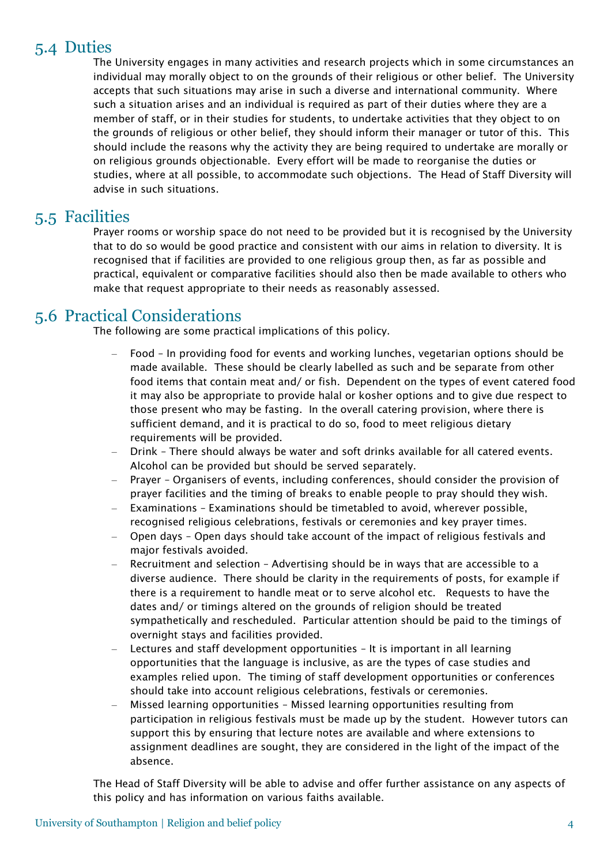#### 5.4 Duties

The University engages in many activities and research projects which in some circumstances an individual may morally object to on the grounds of their religious or other belief. The University accepts that such situations may arise in such a diverse and international community. Where such a situation arises and an individual is required as part of their duties where they are a member of staff, or in their studies for students, to undertake activities that they object to on the grounds of religious or other belief, they should inform their manager or tutor of this. This should include the reasons why the activity they are being required to undertake are morally or on religious grounds objectionable. Every effort will be made to reorganise the duties or studies, where at all possible, to accommodate such objections. The Head of Staff Diversity will advise in such situations.

#### 5.5 Facilities

Prayer rooms or worship space do not need to be provided but it is recognised by the University that to do so would be good practice and consistent with our aims in relation to diversity. It is recognised that if facilities are provided to one religious group then, as far as possible and practical, equivalent or comparative facilities should also then be made available to others who make that request appropriate to their needs as reasonably assessed.

#### 5.6 Practical Considerations

The following are some practical implications of this policy.

- Food In providing food for events and working lunches, vegetarian options should be made available. These should be clearly labelled as such and be separate from other food items that contain meat and/ or fish. Dependent on the types of event catered food it may also be appropriate to provide halal or kosher options and to give due respect to those present who may be fasting. In the overall catering provision, where there is sufficient demand, and it is practical to do so, food to meet religious dietary requirements will be provided.
- Drink There should always be water and soft drinks available for all catered events. Alcohol can be provided but should be served separately.
- Prayer Organisers of events, including conferences, should consider the provision of prayer facilities and the timing of breaks to enable people to pray should they wish.
- Examinations Examinations should be timetabled to avoid, wherever possible, recognised religious celebrations, festivals or ceremonies and key prayer times.
- Open days Open days should take account of the impact of religious festivals and major festivals avoided.
- Recruitment and selection Advertising should be in ways that are accessible to a diverse audience. There should be clarity in the requirements of posts, for example if there is a requirement to handle meat or to serve alcohol etc. Requests to have the dates and/ or timings altered on the grounds of religion should be treated sympathetically and rescheduled. Particular attention should be paid to the timings of overnight stays and facilities provided.
- Lectures and staff development opportunities It is important in all learning opportunities that the language is inclusive, as are the types of case studies and examples relied upon. The timing of staff development opportunities or conferences should take into account religious celebrations, festivals or ceremonies.
- Missed learning opportunities Missed learning opportunities resulting from participation in religious festivals must be made up by the student. However tutors can support this by ensuring that lecture notes are available and where extensions to assignment deadlines are sought, they are considered in the light of the impact of the absence.

The Head of Staff Diversity will be able to advise and offer further assistance on any aspects of this policy and has information on various faiths available.